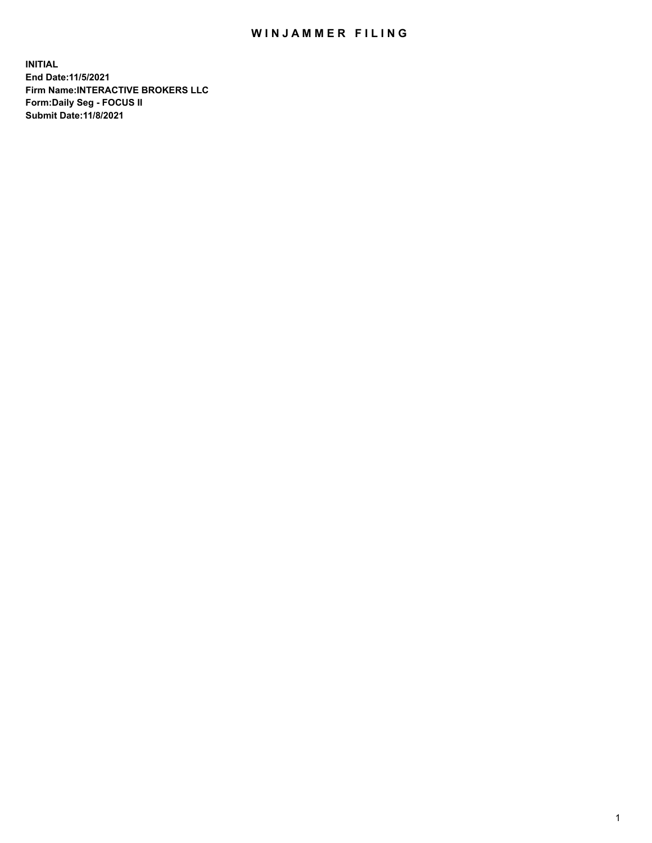## WIN JAMMER FILING

**INITIAL End Date:11/5/2021 Firm Name:INTERACTIVE BROKERS LLC Form:Daily Seg - FOCUS II Submit Date:11/8/2021**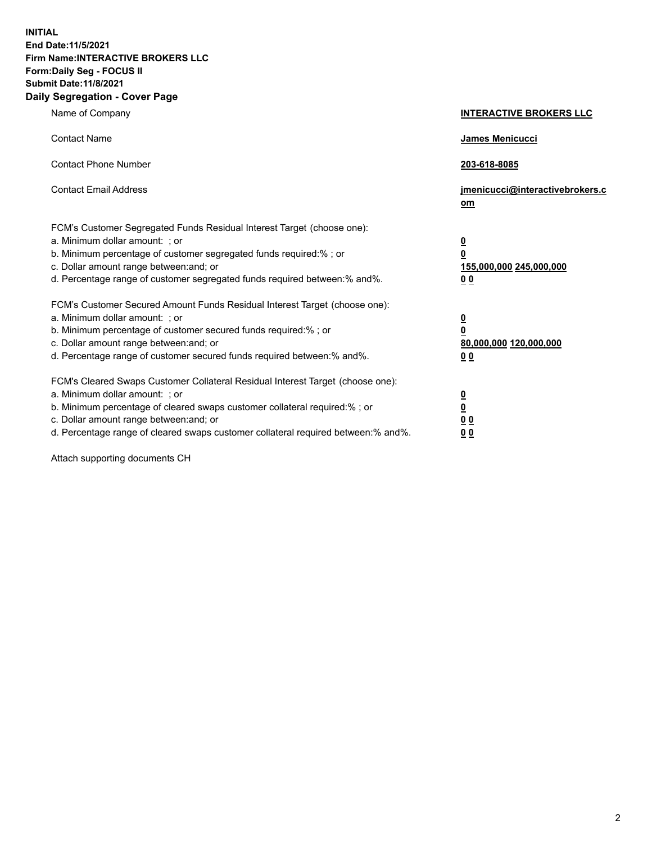**INITIAL End Date:11/5/2021 Firm Name:INTERACTIVE BROKERS LLC Form:Daily Seg - FOCUS II Submit Date:11/8/2021 Daily Segregation - Cover Page**

| Name of Company                                                                                                                                                                                                                                                                                                                | <b>INTERACTIVE BROKERS LLC</b>                                                                 |
|--------------------------------------------------------------------------------------------------------------------------------------------------------------------------------------------------------------------------------------------------------------------------------------------------------------------------------|------------------------------------------------------------------------------------------------|
| <b>Contact Name</b>                                                                                                                                                                                                                                                                                                            | <b>James Menicucci</b>                                                                         |
| <b>Contact Phone Number</b>                                                                                                                                                                                                                                                                                                    | 203-618-8085                                                                                   |
| <b>Contact Email Address</b>                                                                                                                                                                                                                                                                                                   | jmenicucci@interactivebrokers.c<br>om                                                          |
| FCM's Customer Segregated Funds Residual Interest Target (choose one):<br>a. Minimum dollar amount: ; or<br>b. Minimum percentage of customer segregated funds required:% ; or<br>c. Dollar amount range between: and; or<br>d. Percentage range of customer segregated funds required between:% and%.                         | $\overline{\mathbf{0}}$<br>$\overline{\mathbf{0}}$<br>155,000,000 245,000,000<br>00            |
| FCM's Customer Secured Amount Funds Residual Interest Target (choose one):<br>a. Minimum dollar amount: ; or<br>b. Minimum percentage of customer secured funds required:% ; or<br>c. Dollar amount range between: and; or<br>d. Percentage range of customer secured funds required between:% and%.                           | $\overline{\mathbf{0}}$<br>$\overline{\mathbf{0}}$<br>80,000,000 120,000,000<br>0 <sub>0</sub> |
| FCM's Cleared Swaps Customer Collateral Residual Interest Target (choose one):<br>a. Minimum dollar amount: ; or<br>b. Minimum percentage of cleared swaps customer collateral required:% ; or<br>c. Dollar amount range between: and; or<br>d. Percentage range of cleared swaps customer collateral required between:% and%. | $\overline{\mathbf{0}}$<br><u>0</u><br>0 <sub>0</sub><br>0 <sub>0</sub>                        |

Attach supporting documents CH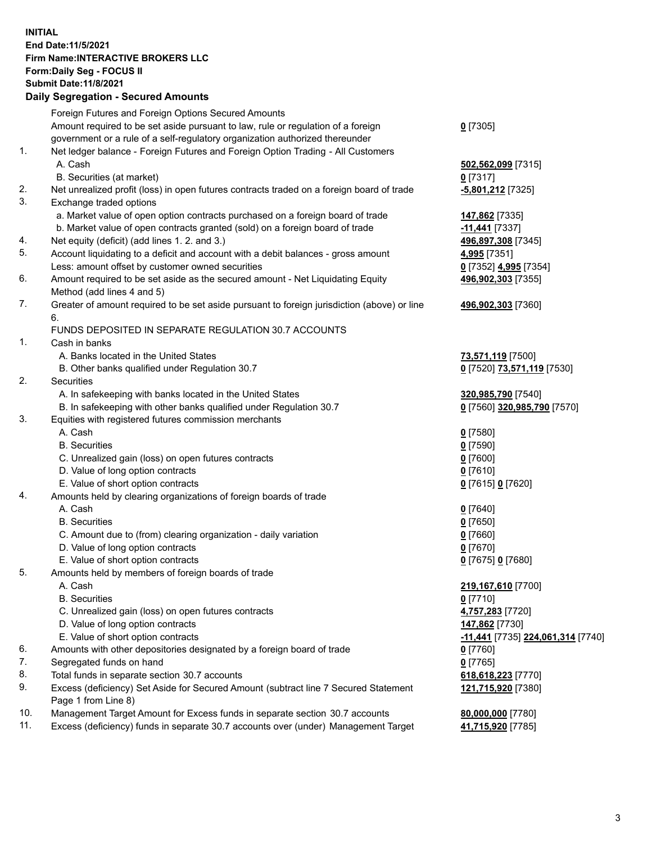## **INITIAL End Date:11/5/2021 Firm Name:INTERACTIVE BROKERS LLC Form:Daily Seg - FOCUS II Submit Date:11/8/2021 Daily Segregation - Secured Amounts**

|     | Daily Segregation - Secured Amounts                                                         |                                                 |
|-----|---------------------------------------------------------------------------------------------|-------------------------------------------------|
|     | Foreign Futures and Foreign Options Secured Amounts                                         |                                                 |
|     | Amount required to be set aside pursuant to law, rule or regulation of a foreign            | $0$ [7305]                                      |
|     | government or a rule of a self-regulatory organization authorized thereunder                |                                                 |
| 1.  | Net ledger balance - Foreign Futures and Foreign Option Trading - All Customers             |                                                 |
|     | A. Cash                                                                                     | 502,562,099 [7315]                              |
|     | B. Securities (at market)                                                                   | $0$ [7317]                                      |
| 2.  | Net unrealized profit (loss) in open futures contracts traded on a foreign board of trade   | -5,801,212 [7325]                               |
| 3.  | Exchange traded options                                                                     |                                                 |
|     | a. Market value of open option contracts purchased on a foreign board of trade              | 147,862 [7335]                                  |
|     | b. Market value of open contracts granted (sold) on a foreign board of trade                | -11,441 [7337]                                  |
| 4.  | Net equity (deficit) (add lines 1. 2. and 3.)                                               | 496,897,308 [7345]                              |
| 5.  | Account liquidating to a deficit and account with a debit balances - gross amount           | 4,995 [7351]                                    |
|     | Less: amount offset by customer owned securities                                            | 0 [7352] 4,995 [7354]                           |
| 6.  | Amount required to be set aside as the secured amount - Net Liquidating Equity              | 496,902,303 [7355]                              |
|     | Method (add lines 4 and 5)                                                                  |                                                 |
| 7.  | Greater of amount required to be set aside pursuant to foreign jurisdiction (above) or line | 496,902,303 [7360]                              |
|     | 6.                                                                                          |                                                 |
|     | FUNDS DEPOSITED IN SEPARATE REGULATION 30.7 ACCOUNTS                                        |                                                 |
| 1.  | Cash in banks                                                                               |                                                 |
|     | A. Banks located in the United States                                                       | 73,571,119 [7500]                               |
|     | B. Other banks qualified under Regulation 30.7                                              | 0 [7520] 73,571,119 [7530]                      |
| 2.  | Securities                                                                                  |                                                 |
|     | A. In safekeeping with banks located in the United States                                   | 320,985,790 [7540]                              |
|     | B. In safekeeping with other banks qualified under Regulation 30.7                          | 0 [7560] 320,985,790 [7570]                     |
| 3.  | Equities with registered futures commission merchants                                       |                                                 |
|     | A. Cash                                                                                     | $0$ [7580]                                      |
|     | <b>B.</b> Securities                                                                        | $0$ [7590]                                      |
|     | C. Unrealized gain (loss) on open futures contracts                                         | $0$ [7600]                                      |
|     | D. Value of long option contracts                                                           | $0$ [7610]                                      |
|     | E. Value of short option contracts                                                          | 0 [7615] 0 [7620]                               |
| 4.  | Amounts held by clearing organizations of foreign boards of trade                           |                                                 |
|     | A. Cash                                                                                     | $0$ [7640]                                      |
|     | <b>B.</b> Securities                                                                        | $0$ [7650]                                      |
|     | C. Amount due to (from) clearing organization - daily variation                             | $0$ [7660]                                      |
|     | D. Value of long option contracts                                                           | $0$ [7670]                                      |
|     | E. Value of short option contracts                                                          | 0 [7675] 0 [7680]                               |
| 5.  | Amounts held by members of foreign boards of trade                                          |                                                 |
|     | A. Cash                                                                                     | 219,167,610 [7700]                              |
|     | <b>B.</b> Securities                                                                        | $0$ [7710]                                      |
|     | C. Unrealized gain (loss) on open futures contracts                                         | 4,757,283 [7720]                                |
|     | D. Value of long option contracts                                                           | 147,862 [7730]                                  |
|     | E. Value of short option contracts                                                          | <u>-11,441</u> [7735] <u>224,061,314</u> [7740] |
| 6.  | Amounts with other depositories designated by a foreign board of trade                      | $0$ [7760]                                      |
| 7.  | Segregated funds on hand                                                                    | $0$ [7765]                                      |
| 8.  | Total funds in separate section 30.7 accounts                                               | 618,618,223 [7770]                              |
| 9.  | Excess (deficiency) Set Aside for Secured Amount (subtract line 7 Secured Statement         | 121,715,920 [7380]                              |
|     | Page 1 from Line 8)                                                                         |                                                 |
| 10. | Management Target Amount for Excess funds in separate section 30.7 accounts                 | 80,000,000 [7780]                               |
| 11. | Excess (deficiency) funds in separate 30.7 accounts over (under) Management Target          | 41,715,920 [7785]                               |
|     |                                                                                             |                                                 |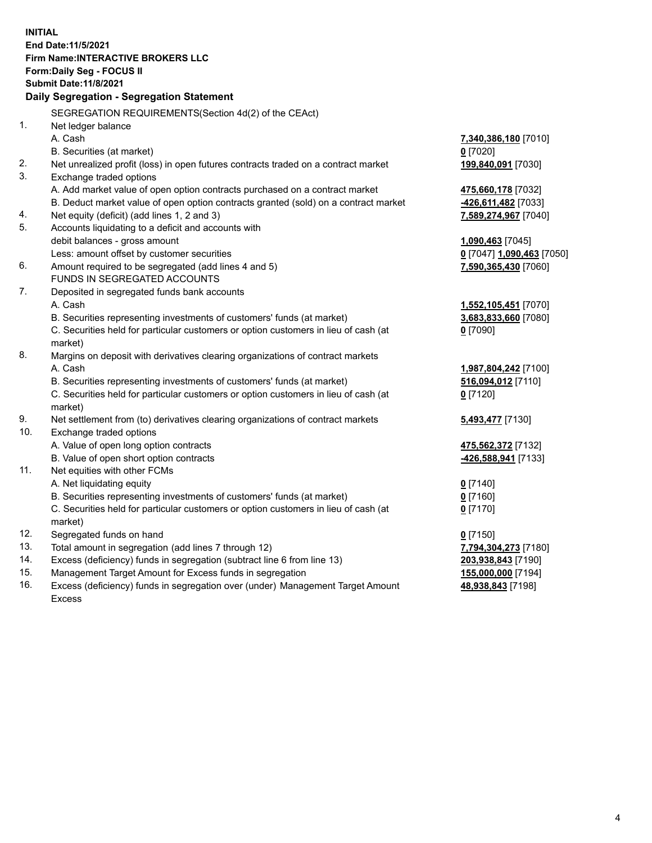**INITIAL End Date:11/5/2021 Firm Name:INTERACTIVE BROKERS LLC Form:Daily Seg - FOCUS II Submit Date:11/8/2021 Daily Segregation - Segregation Statement** SEGREGATION REQUIREMENTS(Section 4d(2) of the CEAct) 1. Net ledger balance A. Cash **7,340,386,180** [7010] B. Securities (at market) **0** [7020] 2. Net unrealized profit (loss) in open futures contracts traded on a contract market **199,840,091** [7030] 3. Exchange traded options A. Add market value of open option contracts purchased on a contract market **475,660,178** [7032] B. Deduct market value of open option contracts granted (sold) on a contract market **-426,611,482** [7033] 4. Net equity (deficit) (add lines 1, 2 and 3) **7,589,274,967** [7040] 5. Accounts liquidating to a deficit and accounts with debit balances - gross amount **1,090,463** [7045] Less: amount offset by customer securities **0** [7047] **1,090,463** [7050] 6. Amount required to be segregated (add lines 4 and 5) **7,590,365,430** [7060] FUNDS IN SEGREGATED ACCOUNTS 7. Deposited in segregated funds bank accounts A. Cash **1,552,105,451** [7070] B. Securities representing investments of customers' funds (at market) **3,683,833,660** [7080] C. Securities held for particular customers or option customers in lieu of cash (at market) **0** [7090] 8. Margins on deposit with derivatives clearing organizations of contract markets A. Cash **1,987,804,242** [7100] B. Securities representing investments of customers' funds (at market) **516,094,012** [7110] C. Securities held for particular customers or option customers in lieu of cash (at market) **0** [7120] 9. Net settlement from (to) derivatives clearing organizations of contract markets **5,493,477** [7130] 10. Exchange traded options A. Value of open long option contracts **475,562,372** [7132] B. Value of open short option contracts **-426,588,941** [7133] 11. Net equities with other FCMs A. Net liquidating equity **0** [7140] B. Securities representing investments of customers' funds (at market) **0** [7160] C. Securities held for particular customers or option customers in lieu of cash (at market) **0** [7170] 12. Segregated funds on hand **0** [7150] 13. Total amount in segregation (add lines 7 through 12) **7,794,304,273** [7180] 14. Excess (deficiency) funds in segregation (subtract line 6 from line 13) **203,938,843** [7190] 15. Management Target Amount for Excess funds in segregation **155,000,000** [7194]

16. Excess (deficiency) funds in segregation over (under) Management Target Amount Excess

**48,938,843** [7198]